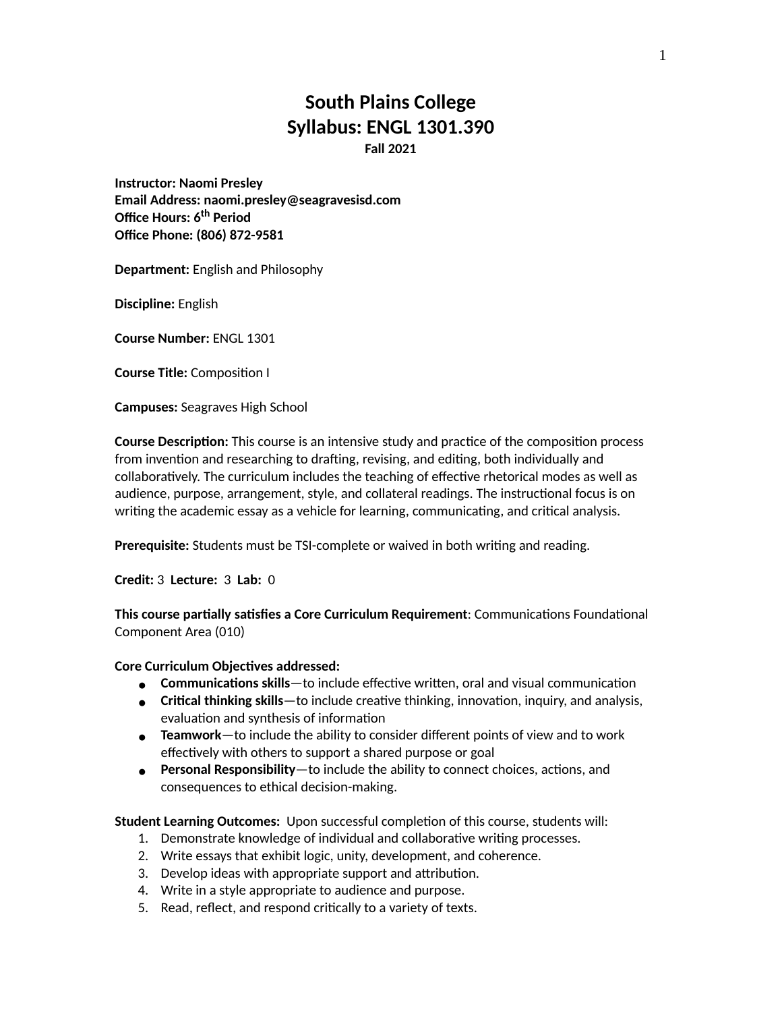# **South Plains College Syllabus: ENGL 1301.390 Fall 2021**

**Instructor: Naomi Presley Email Address: naomi.presley@seagravesisd.com Office Hours: 6 th Period Office Phone: (806) 872-9581**

**Department:** English and Philosophy

**Discipline:** English

**Course Number:** ENGL 1301

**Course Title:** Composition I

**Campuses:** Seagraves High School

**Course Description:** This course is an intensive study and practice of the composition process from invention and researching to drafting, revising, and editing, both individually and collaboratively. The curriculum includes the teaching of effective rhetorical modes as well as audience, purpose, arrangement, style, and collateral readings. The instructional focus is on writing the academic essay as a vehicle for learning, communicating, and critical analysis.

**Prerequisite:** Students must be TSI-complete or waived in both writing and reading.

**Credit:** 3 **Lecture:** 3 **Lab:** 0

**This course partially satisfies a Core Curriculum Requirement**: Communications Foundational Component Area (010)

#### **Core Curriculum Objectives addressed:**

- **● Communications skills**—to include effective written, oral and visual communication
- **Critical thinking skills**—to include creative thinking, innovation, inquiry, and analysis, **●** evaluation and synthesis of information
- **Teamwork**—to include the ability to consider different points of view and to work **●** effectively with others to support a shared purpose or goal
- **Personal Responsibility**—to include the ability to connect choices, actions, and **●** consequences to ethical decision-making.

**Student Learning Outcomes:** Upon successful completion of this course, students will:

- 1. Demonstrate knowledge of individual and collaborative writing processes.
- 2. Write essays that exhibit logic, unity, development, and coherence.
- 3. Develop ideas with appropriate support and attribution.
- 4. Write in a style appropriate to audience and purpose.
- 5. Read, reflect, and respond critically to a variety of texts.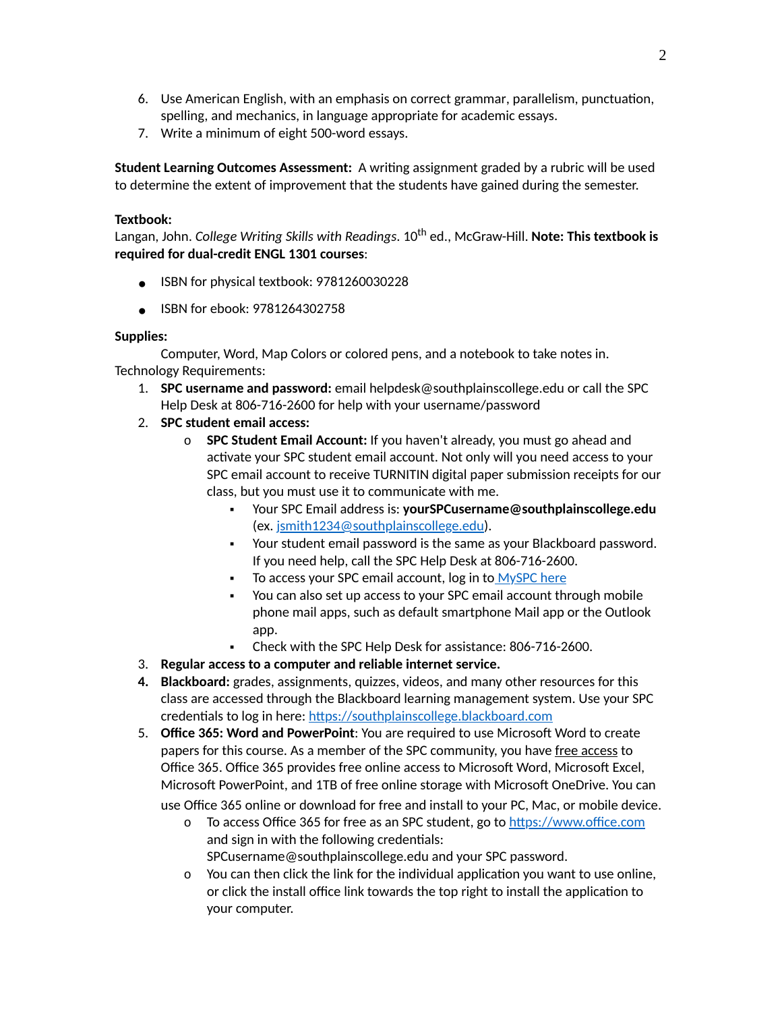- Use American English, with an emphasis on correct grammar, parallelism, punctuation, 6. spelling, and mechanics, in language appropriate for academic essays.
- 7. Write a minimum of eight 500-word essays.

**Student Learning Outcomes Assessment:** A writing assignment graded by a rubric will be used to determine the extent of improvement that the students have gained during the semester.

### **Textbook:**

Langan, John. *College Writing Skills with Readings*. 10 th ed., McGraw-Hill. **Note: This textbook is required for dual-credit ENGL 1301 courses**:

- **●** ISBN for physical textbook: 9781260030228
- **●** ISBN for ebook: 9781264302758

# **Supplies:**

Computer, Word, Map Colors or colored pens, and a notebook to take notes in. Technology Requirements:

- **SPC username and password:** email helpdesk@southplainscollege.edu or call the SPC 1. Help Desk at 806-716-2600 for help with your username/password
- 2. **SPC student email access:**
	- **SPC Student Email Account:** If you haven't already, you must go ahead and o activate your SPC student email account. Not only will you need access to your SPC email account to receive TURNITIN digital paper submission receipts for our class, but you must use it to communicate with me.
		- Your SPC Email address is: **yourSPCusername@southplainscollege.edu** (ex. [jsmith1234@southplainscollege.edu\)](mailto:jsmith1234@southplainscollege.edu). ▪
		- Your student email password is the same as your Blackboard password. If you need help, call the SPC Help Desk at 806-716-2600.
		- To access your SPC email account, log in to [MySPC](https://fs.southplainscollege.edu/adfs/ls?wa=wsignin1.0&wtrealm=urn%3aportal.southplainscollege.edu%3a443&wctx=https%3a%2f%2fportal.southplainscollege.edu%2f_layouts%2f15%2fAuthenticate.aspx%3fSource%3d%252F&wreply=https%3a%2f%2fportal.southplainscollege.edu%2f_trust%2fdefault.aspx) here
		- You can also set up access to your SPC email account through mobile phone mail apps, such as default smartphone Mail app or the Outlook app. ▪
		- Check with the SPC Help Desk for assistance: 806-716-2600.
- 3. **Regular access to a computer and reliable internet service.**
- **Blackboard:** grades, assignments, quizzes, videos, and many other resources for this **4.** class are accessed through the Blackboard learning management system. Use your SPC credentials to log in here: [https://southplainscollege.blackboard.com](https://southplainscollege.blackboard.com/)
- **Office 365: Word and PowerPoint**: You are required to use Microsoft Word to create 5. papers for this course. As a member of the SPC community, you have free access to Office 365. Office 365 provides free online access to Microsoft Word, Microsoft Excel, Microsoft PowerPoint, and 1TB of free online storage with Microsoft OneDrive. You can use Office 365 online or download for free and install to your PC, Mac, or mobile device.
	- o To access Office 365 for free as an SPC student, go to <u>[https://www.office.com](https://www.office.com/)</u> and sign in with the following credentials: SPCusername@southplainscollege.edu and your SPC password.
	- You can then click the link for the individual application you want to use online, oor click the install office link towards the top right to install the application to your computer.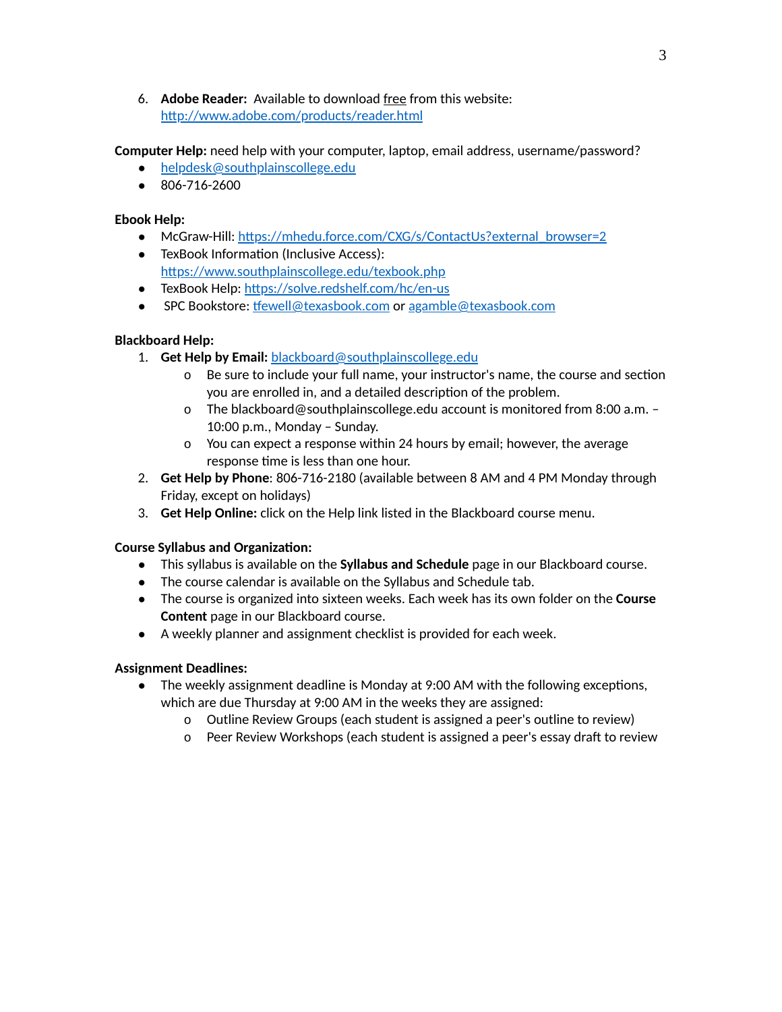**Adobe Reader:** Available to download free from this website: 6. <http://www.adobe.com/products/reader.html>

**Computer Help:** need help with your computer, laptop, email address, username/password?

- [helpdesk@southplainscollege.edu](mailto:helpdesk@southplainscollege.edu)
- 806-716-2600

### **Ebook Help:**

- McGraw-Hill: [https://mhedu.force.com/CXG/s/ContactUs?external\\_browser=2](https://mhedu.force.com/CXG/s/ContactUs?external_browser=2)
- TexBook Information (Inclusive Access): <https://www.southplainscollege.edu/texbook.php>
- TexBook Help: <https://solve.redshelf.com/hc/en-us>
- SPC Bookstore: [tfewell@texasbook.com](mailto:tfewell@texasbook.com) or [agamble@texasbook.com](mailto:agamble@texasbook.com)

# **Blackboard Help:**

- 1. **Get Help by Email:** [blackboard@southplainscollege.edu](mailto:blackboard@southplainscollege.edu)
	- Be sure to include your full name, your instructor's name, the course and section o you are enrolled in, and a detailed description of the problem.
	- The blackboard@southplainscollege.edu account is monitored from 8:00 a.m. o 10:00 p.m., Monday – Sunday.
	- You can expect a response within 24 hours by email; however, the average o response time is less than one hour.
- **Get Help by Phone**: 806-716-2180 (available between 8 AM and 4 PM Monday through 2. Friday, except on holidays)
- 3. **Get Help Online:** click on the Help link listed in the Blackboard course menu.

### **Course Syllabus and Organization:**

- This syllabus is available on the **Syllabus and Schedule** page in our Blackboard course.
- The course calendar is available on the Syllabus and Schedule tab.
- The course is organized into sixteen weeks. Each week has its own folder on the **Course Content** page in our Blackboard course.
- A weekly planner and assignment checklist is provided for each week.

### **Assignment Deadlines:**

- The weekly assignment deadline is Monday at 9:00 AM with the following exceptions, which are due Thursday at 9:00 AM in the weeks they are assigned:
	- o Outline Review Groups (each student is assigned a peer's outline to review)
	- o Peer Review Workshops (each student is assigned a peer's essay draft to review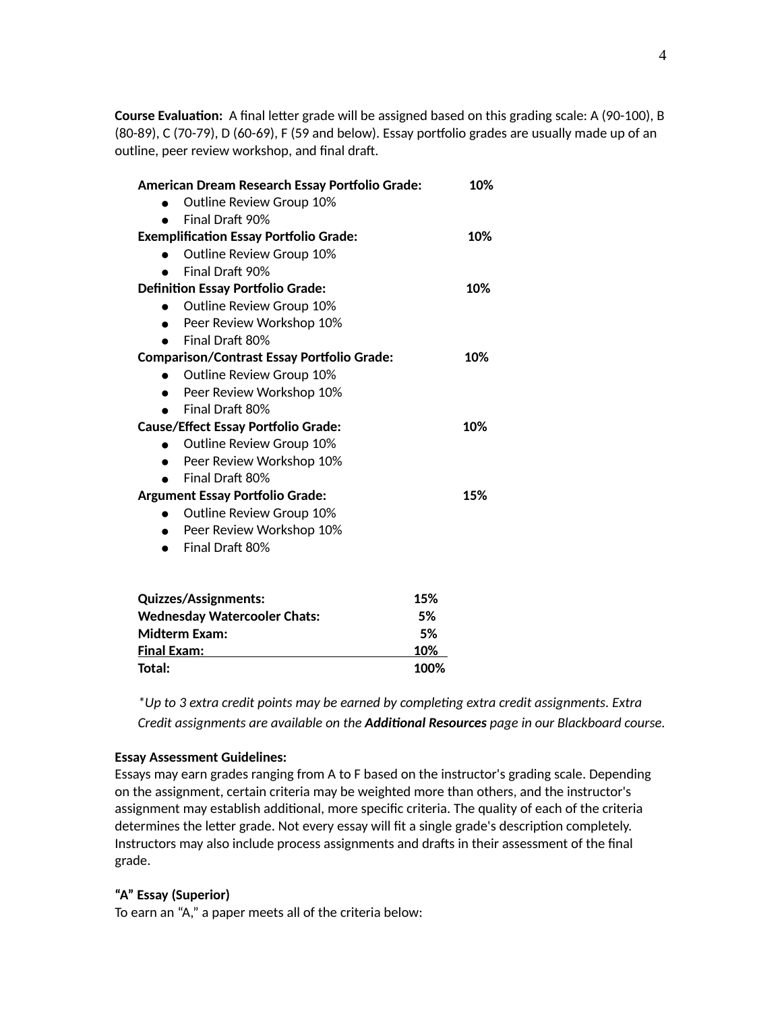**Course Evaluation:** A final letter grade will be assigned based on this grading scale: A (90-100), B (80-89), C (70-79), D (60-69), F (59 and below). Essay portfolio grades are usually made up of an outline, peer review workshop, and final draft.

| American Dream Research Essay Portfolio Grade:    | 10% |
|---------------------------------------------------|-----|
| Outline Review Group 10%                          |     |
| Final Draft 90%                                   |     |
| <b>Exemplification Essay Portfolio Grade:</b>     | 10% |
| Outline Review Group 10%                          |     |
| Final Draft 90%                                   |     |
| <b>Definition Essay Portfolio Grade:</b>          | 10% |
| Outline Review Group 10%                          |     |
| Peer Review Workshop 10%                          |     |
| Final Draft 80%                                   |     |
| <b>Comparison/Contrast Essay Portfolio Grade:</b> | 10% |
| Outline Review Group 10%                          |     |
| Peer Review Workshop 10%                          |     |
| Final Draft 80%                                   |     |
| <b>Cause/Effect Essay Portfolio Grade:</b>        | 10% |
| Outline Review Group 10%                          |     |
| Peer Review Workshop 10%                          |     |
| Final Draft 80%                                   |     |
| <b>Argument Essay Portfolio Grade:</b>            | 15% |
| Outline Review Group 10%                          |     |
| Peer Review Workshop 10%                          |     |
| Final Draft 80%                                   |     |
| 15%<br><b>Quizzes/Assignments:</b>                |     |
| 5%<br><b>Wednesday Watercooler Chats:</b>         |     |
|                                                   |     |
| <b>Midterm Exam:</b>                              |     |
| 5%<br>10%<br><b>Final Exam:</b>                   |     |

*\*Up to 3 extra credit points may be earned by completing extra credit assignments. Extra Credit assignments are available on the Additional Resources page in our Blackboard course.*

#### **Essay Assessment Guidelines:**

Essays may earn grades ranging from A to F based on the instructor's grading scale. Depending on the assignment, certain criteria may be weighted more than others, and the instructor's assignment may establish additional, more specific criteria. The quality of each of the criteria determines the letter grade. Not every essay will fit a single grade's description completely. Instructors may also include process assignments and drafts in their assessment of the final grade.

### **"A" Essay (Superior)**

To earn an "A," a paper meets all of the criteria below: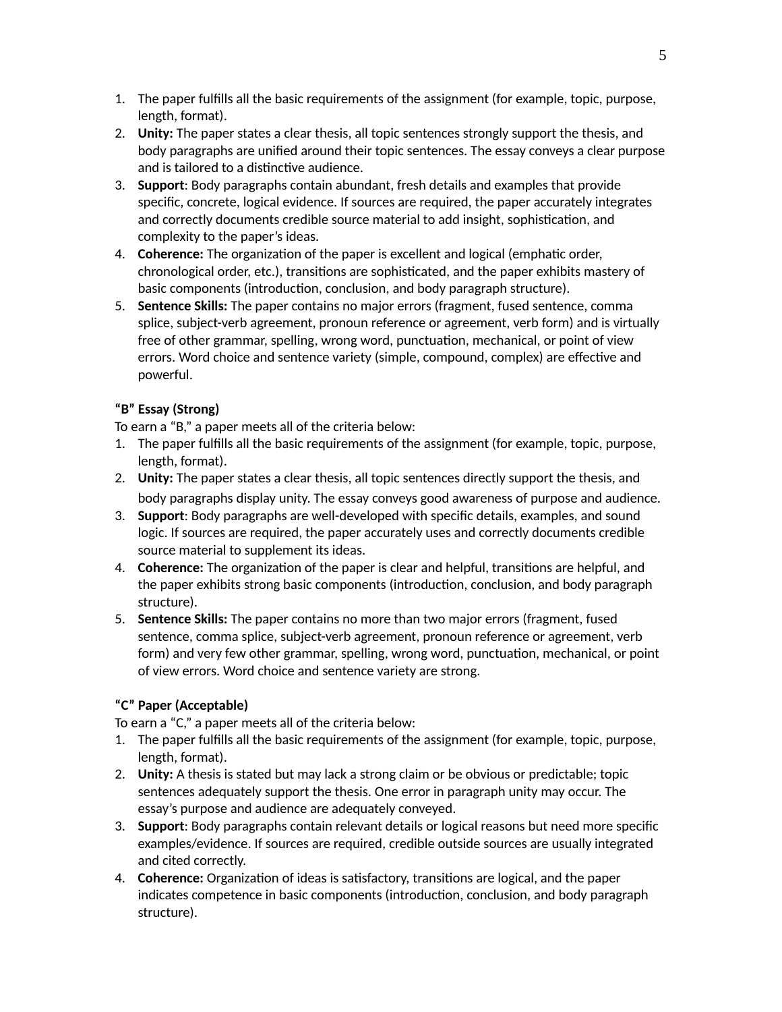- The paper fulfills all the basic requirements of the assignment (for example, topic, purpose, 1. length, format).
- **Unity:** The paper states a clear thesis, all topic sentences strongly support the thesis, and 2. body paragraphs are unified around their topic sentences. The essay conveys a clear purpose and is tailored to a distinctive audience.
- **Support**: Body paragraphs contain abundant, fresh details and examples that provide 3. specific, concrete, logical evidence. If sources are required, the paper accurately integrates and correctly documents credible source material to add insight, sophistication, and complexity to the paper's ideas.
- **Coherence:** The organization of the paper is excellent and logical (emphatic order, 4. chronological order, etc.), transitions are sophisticated, and the paper exhibits mastery of basic components (introduction, conclusion, and body paragraph structure).
- **Sentence Skills:** The paper contains no major errors (fragment, fused sentence, comma 5. splice, subject-verb agreement, pronoun reference or agreement, verb form) and is virtually free of other grammar, spelling, wrong word, punctuation, mechanical, or point of view errors. Word choice and sentence variety (simple, compound, complex) are effective and powerful.

# **"B" Essay (Strong)**

To earn a "B," a paper meets all of the criteria below:

- The paper fulfills all the basic requirements of the assignment (for example, topic, purpose, 1. length, format).
- **Unity:** The paper states a clear thesis, all topic sentences directly support the thesis, and 2. body paragraphs display unity. The essay conveys good awareness of purpose and audience.
- **Support**: Body paragraphs are well-developed with specific details, examples, and sound 3. logic. If sources are required, the paper accurately uses and correctly documents credible source material to supplement its ideas.
- **Coherence:** The organization of the paper is clear and helpful, transitions are helpful, and 4. the paper exhibits strong basic components (introduction, conclusion, and body paragraph structure).
- **Sentence Skills:** The paper contains no more than two major errors (fragment, fused 5. sentence, comma splice, subject-verb agreement, pronoun reference or agreement, verb form) and very few other grammar, spelling, wrong word, punctuation, mechanical, or point of view errors. Word choice and sentence variety are strong.

# **"C" Paper (Acceptable)**

To earn a "C," a paper meets all of the criteria below:

- The paper fulfills all the basic requirements of the assignment (for example, topic, purpose, 1. length, format).
- **Unity:** A thesis is stated but may lack a strong claim or be obvious or predictable; topic 2. sentences adequately support the thesis. One error in paragraph unity may occur. The essay's purpose and audience are adequately conveyed.
- **Support**: Body paragraphs contain relevant details or logical reasons but need more specific 3. examples/evidence. If sources are required, credible outside sources are usually integrated and cited correctly.
- **Coherence:** Organization of ideas is satisfactory, transitions are logical, and the paper 4.indicates competence in basic components (introduction, conclusion, and body paragraph structure).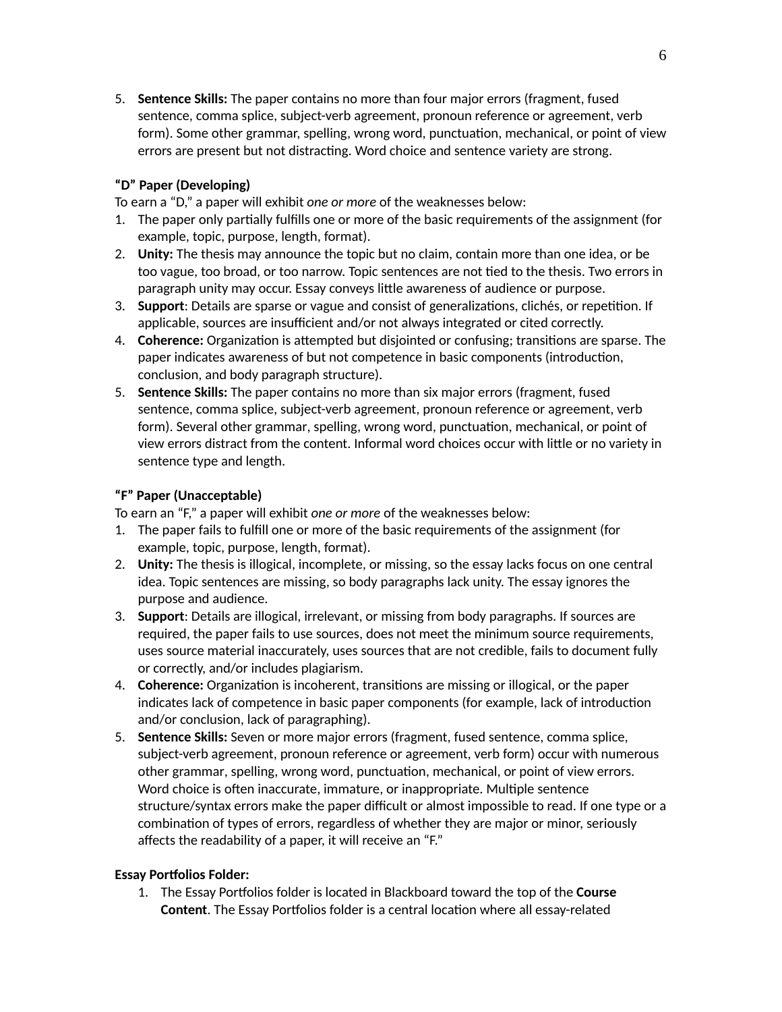**Sentence Skills:** The paper contains no more than four major errors (fragment, fused 5. sentence, comma splice, subject-verb agreement, pronoun reference or agreement, verb form). Some other grammar, spelling, wrong word, punctuation, mechanical, or point of view errors are present but not distracting. Word choice and sentence variety are strong.

# **"D" Paper (Developing)**

To earn a "D," a paper will exhibit *one or more* of the weaknesses below:

- The paper only partially fulfills one or more of the basic requirements of the assignment (for 1. example, topic, purpose, length, format).
- **Unity:** The thesis may announce the topic but no claim, contain more than one idea, or be 2. too vague, too broad, or too narrow. Topic sentences are not tied to the thesis. Two errors in paragraph unity may occur. Essay conveys little awareness of audience or purpose.
- **Support**: Details are sparse or vague and consist of generalizations, clichés, or repetition. If 3. applicable, sources are insufficient and/or not always integrated or cited correctly.
- **Coherence:** Organization is attempted but disjointed or confusing; transitions are sparse. The 4. paper indicates awareness of but not competence in basic components (introduction, conclusion, and body paragraph structure).
- **Sentence Skills:** The paper contains no more than six major errors (fragment, fused 5. sentence, comma splice, subject-verb agreement, pronoun reference or agreement, verb form). Several other grammar, spelling, wrong word, punctuation, mechanical, or point of view errors distract from the content. Informal word choices occur with little or no variety in sentence type and length.

# **"F" Paper (Unacceptable)**

To earn an "F," a paper will exhibit *one or more* of the weaknesses below:

- The paper fails to fulfill one or more of the basic requirements of the assignment (for 1. example, topic, purpose, length, format).
- **Unity:** The thesis is illogical, incomplete, or missing, so the essay lacks focus on one central 2. idea. Topic sentences are missing, so body paragraphs lack unity. The essay ignores the purpose and audience.
- **Support**: Details are illogical, irrelevant, or missing from body paragraphs. If sources are 3. required, the paper fails to use sources, does not meet the minimum source requirements, uses source material inaccurately, uses sources that are not credible, fails to document fully or correctly, and/or includes plagiarism.
- **Coherence:** Organization is incoherent, transitions are missing or illogical, or the paper 4. indicates lack of competence in basic paper components (for example, lack of introduction and/or conclusion, lack of paragraphing).
- **Sentence Skills:** Seven or more major errors (fragment, fused sentence, comma splice, 5. subject-verb agreement, pronoun reference or agreement, verb form) occur with numerous other grammar, spelling, wrong word, punctuation, mechanical, or point of view errors. Word choice is often inaccurate, immature, or inappropriate. Multiple sentence structure/syntax errors make the paper difficult or almost impossible to read. If one type or a combination of types of errors, regardless of whether they are major or minor, seriously affects the readability of a paper, it will receive an "F."

# **Essay Portfolios Folder:**

The Essay Portfolios folder is located in Blackboard toward the top of the **Course** 1.**Content**. The Essay Portfolios folder is a central location where all essay-related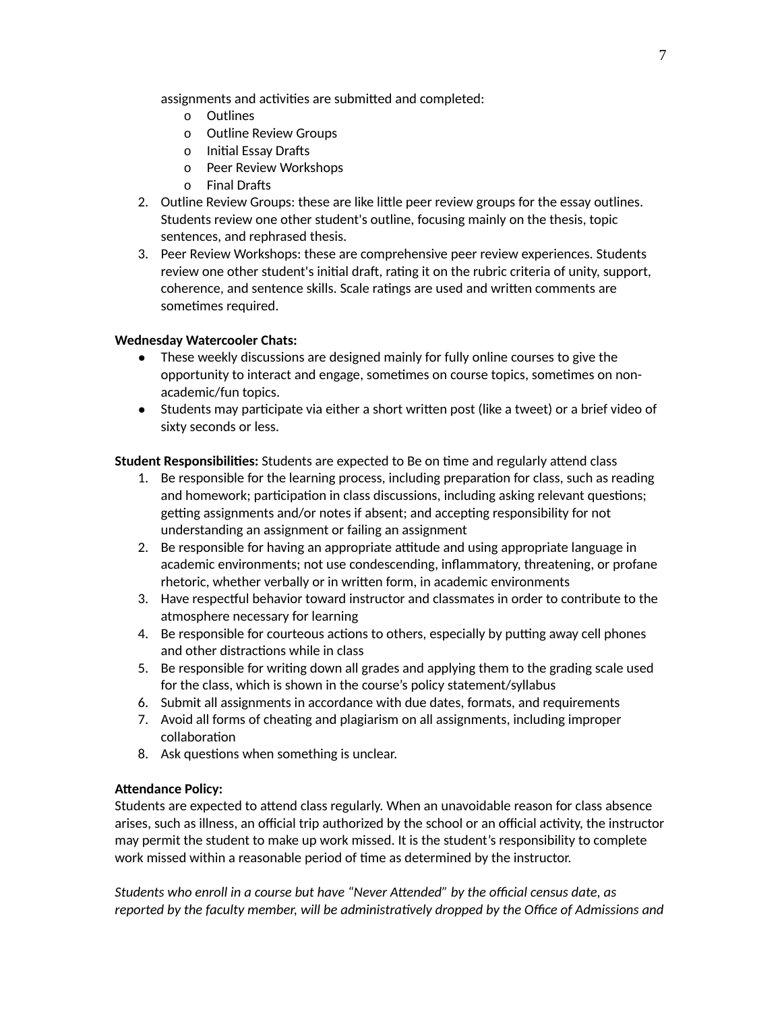assignments and activities are submitted and completed:

- o Outlines
- o Outline Review Groups
- o Initial Essay Drafts
- o Peer Review Workshops
- o Final Drafts
- Outline Review Groups: these are like little peer review groups for the essay outlines. 2. Students review one other student's outline, focusing mainly on the thesis, topic sentences, and rephrased thesis.
- Peer Review Workshops: these are comprehensive peer review experiences. Students 3. review one other student's initial draft, rating it on the rubric criteria of unity, support, coherence, and sentence skills. Scale ratings are used and written comments are sometimes required.

### **Wednesday Watercooler Chats:**

- These weekly discussions are designed mainly for fully online courses to give the opportunity to interact and engage, sometimes on course topics, sometimes on nonacademic/fun topics.
- Students may participate via either a short written post (like a tweet) or a brief video of sixty seconds or less.

**Student Responsibilities:** Students are expected to Be on time and regularly attend class

- 1. Be responsible for the learning process, including preparation for class, such as reading and homework; participation in class discussions, including asking relevant questions; getting assignments and/or notes if absent; and accepting responsibility for not understanding an assignment or failing an assignment
- 2. Be responsible for having an appropriate attitude and using appropriate language in academic environments; not use condescending, inflammatory, threatening, or profane rhetoric, whether verbally or in written form, in academic environments
- Have respectful behavior toward instructor and classmates in order to contribute to the 3. atmosphere necessary for learning
- 4. Be responsible for courteous actions to others, especially by putting away cell phones and other distractions while in class
- Be responsible for writing down all grades and applying them to the grading scale used 5. for the class, which is shown in the course's policy statement/syllabus
- 6. Submit all assignments in accordance with due dates, formats, and requirements
- Avoid all forms of cheating and plagiarism on all assignments, including improper 7. collaboration
- 8. Ask questions when something is unclear.

### **Attendance Policy:**

Students are expected to attend class regularly. When an unavoidable reason for class absence arises, such as illness, an official trip authorized by the school or an official activity, the instructor may permit the student to make up work missed. It is the student's responsibility to complete work missed within a reasonable period of time as determined by the instructor.

*Students who enroll in a course but have "Never Attended" by the official census date, as reported by the faculty member, will be administratively dropped by the Office of Admissions and*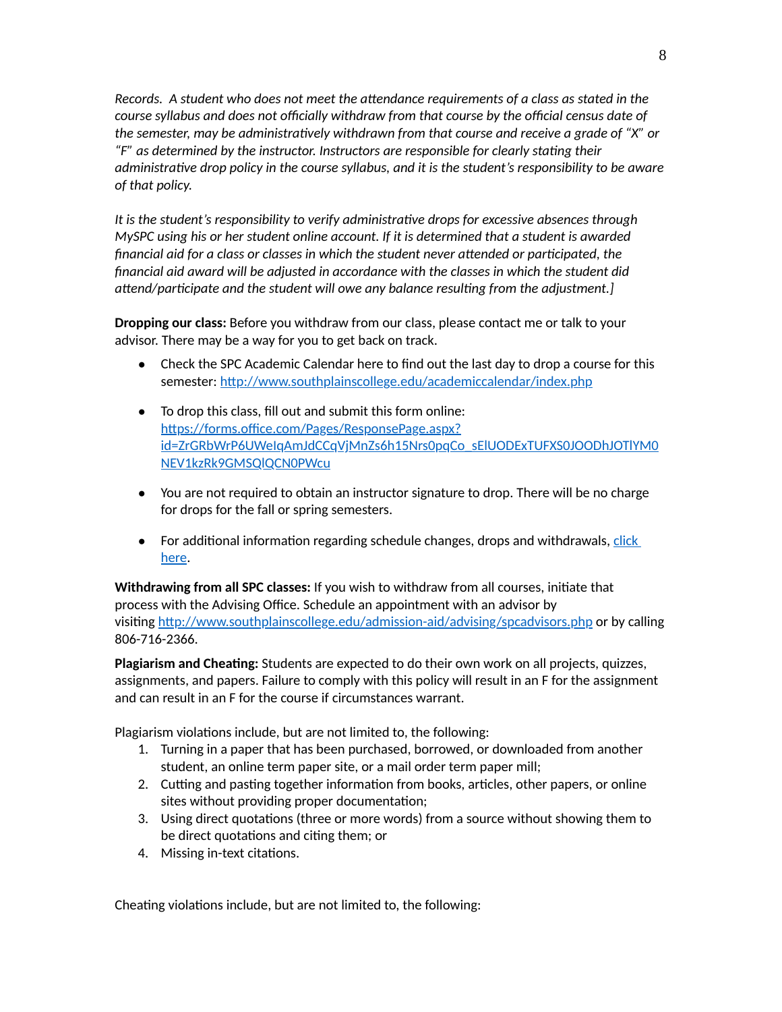*Records. A student who does not meet the attendance requirements of a class as stated in the course syllabus and does not officially withdraw from that course by the official census date of the semester, may be administratively withdrawn from that course and receive a grade of "X" or "F" as determined by the instructor. Instructors are responsible for clearly stating their administrative drop policy in the course syllabus, and it is the student's responsibility to be aware of that policy.*

*It is the student's responsibility to verify administrative drops for excessive absences through MySPC using his or her student online account. If it is determined that a student is awarded financial aid for a class or classes in which the student never attended or participated, the financial aid award will be adjusted in accordance with the classes in which the student did attend/participate and the student will owe any balance resulting from the adjustment.]*

**Dropping our class:** Before you withdraw from our class, please contact me or talk to your advisor. There may be a way for you to get back on track.

- Check the SPC Academic Calendar here to find out the last day to drop a course for this semester: <http://www.southplainscollege.edu/academiccalendar/index.php>
- To drop this class, fill out and submit this form online: https://forms.office.com/Pages/ResponsePage.aspx? [id=ZrGRbWrP6UWeIqAmJdCCqVjMnZs6h15Nrs0pqCo\\_sElUODExTUFXS0JOODhJOTlYM0](https://forms.office.com/Pages/ResponsePage.aspx?id=ZrGRbWrP6UWeIqAmJdCCqVjMnZs6h15Nrs0pqCo_sElUODExTUFXS0JOODhJOTlYM0NEV1kzRk9GMSQlQCN0PWcu) NEV1kzRk9GMSQlQCN0PWcu
- You are not required to obtain an instructor signature to drop. There will be no charge for drops for the fall or spring semesters.
- For additional information regarding schedule changes, drops and [withdrawals,](http://www.southplainscollege.edu/admission-aid/apply/schedulechanges.php) click here.

**Withdrawing from all SPC classes:** If you wish to withdraw from all courses, initiate that process with the Advising Office. Schedule an appointment with an advisor by visiting <http://www.southplainscollege.edu/admission-aid/advising/spcadvisors.php> or by calling 806-716-2366.

**Plagiarism and Cheating:** Students are expected to do their own work on all projects, quizzes, assignments, and papers. Failure to comply with this policy will result in an F for the assignment and can result in an F for the course if circumstances warrant.

Plagiarism violations include, but are not limited to, the following:

- Turning in a paper that has been purchased, borrowed, or downloaded from another 1. student, an online term paper site, or a mail order term paper mill;
- Cutting and pasting together information from books, articles, other papers, or online 2. sites without providing proper documentation;
- Using direct quotations (three or more words) from a source without showing them to 3. be direct quotations and citing them; or
- 4. Missing in-text citations.

Cheating violations include, but are not limited to, the following: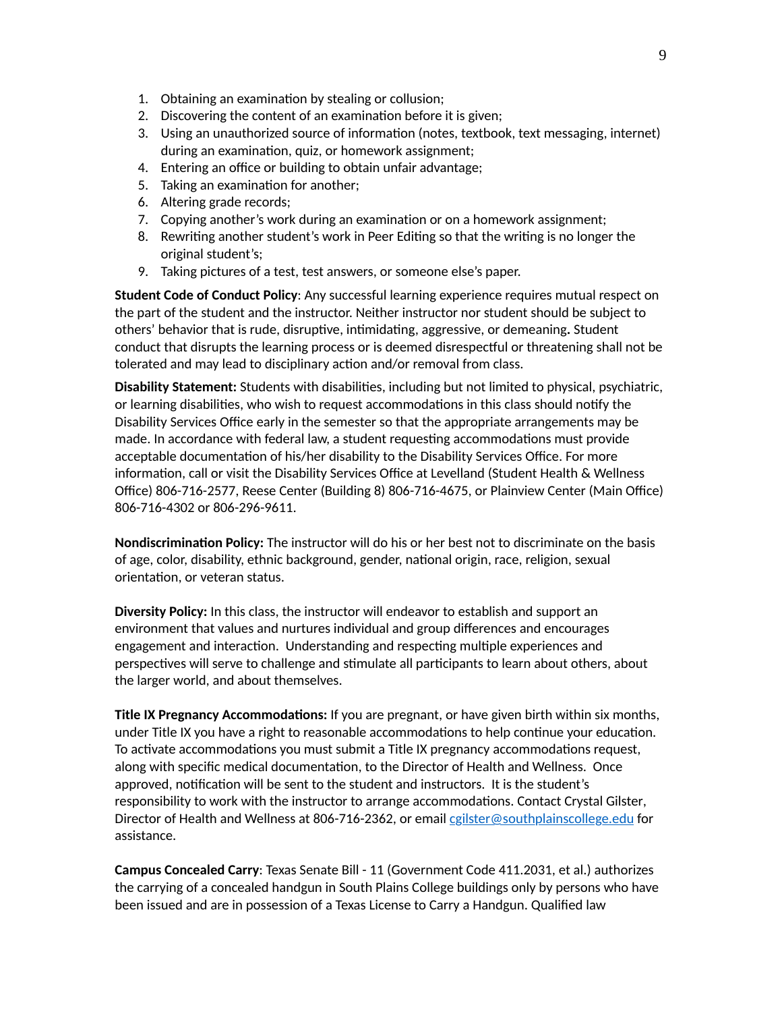- 1. Obtaining an examination by stealing or collusion;
- 2. Discovering the content of an examination before it is given;
- Using an unauthorized source of information (notes, textbook, text messaging, internet) 3. during an examination, quiz, or homework assignment;
- 4. Entering an office or building to obtain unfair advantage;
- 5. Taking an examination for another;
- 6. Altering grade records;
- 7. Copying another's work during an examination or on a homework assignment;
- Rewriting another student's work in Peer Editing so that the writing is no longer the 8. original student's;
- 9. Taking pictures of a test, test answers, or someone else's paper.

**Student Code of Conduct Policy**: Any successful learning experience requires mutual respect on the part of the student and the instructor. Neither instructor nor student should be subject to others' behavior that is rude, disruptive, intimidating, aggressive, or demeaning**.** Student conduct that disrupts the learning process or is deemed disrespectful or threatening shall not be tolerated and may lead to disciplinary action and/or removal from class.

**Disability Statement:** Students with disabilities, including but not limited to physical, psychiatric, or learning disabilities, who wish to request accommodations in this class should notify the Disability Services Office early in the semester so that the appropriate arrangements may be made. In accordance with federal law, a student requesting accommodations must provide acceptable documentation of his/her disability to the Disability Services Office. For more information, call or visit the Disability Services Office at Levelland (Student Health & Wellness Office) 806-716-2577, Reese Center (Building 8) 806-716-4675, or Plainview Center (Main Office) 806-716-4302 or 806-296-9611.

**Nondiscrimination Policy:** The instructor will do his or her best not to discriminate on the basis of age, color, disability, ethnic background, gender, national origin, race, religion, sexual orientation, or veteran status.

**Diversity Policy:** In this class, the instructor will endeavor to establish and support an environment that values and nurtures individual and group differences and encourages engagement and interaction. Understanding and respecting multiple experiences and perspectives will serve to challenge and stimulate all participants to learn about others, about the larger world, and about themselves.

**Title IX Pregnancy Accommodations:** If you are pregnant, or have given birth within six months, under Title IX you have a right to reasonable accommodations to help continue your education. To activate accommodations you must submit a Title IX pregnancy accommodations request, along with specific medical documentation, to the Director of Health and Wellness. Once approved, notification will be sent to the student and instructors. It is the student's responsibility to work with the instructor to arrange accommodations. Contact Crystal Gilster, Director of Health and Wellness at 806-716-2362, or email callster@southplainscollege.edu for assistance.

**Campus Concealed Carry**: Texas Senate Bill - 11 (Government Code 411.2031, et al.) authorizes the carrying of a concealed handgun in South Plains College buildings only by persons who have been issued and are in possession of a Texas License to Carry a Handgun. Qualified law